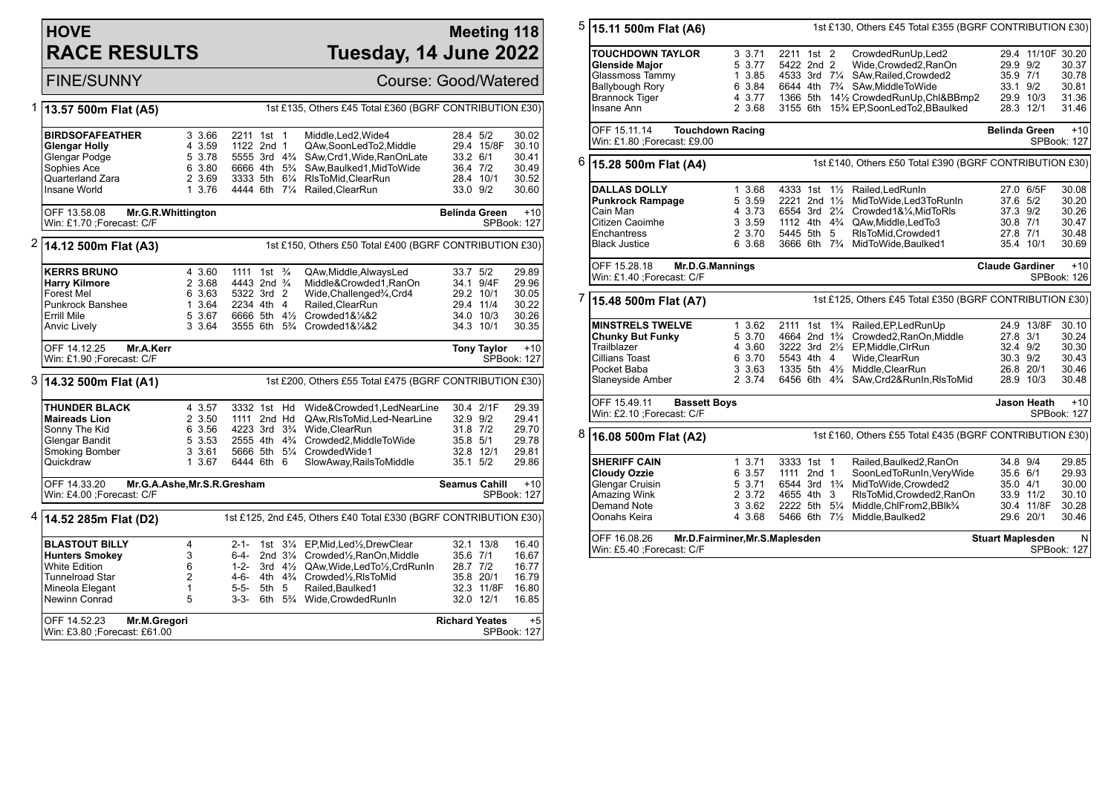# **HOVE RACE RESULTS**

### **Meeting 118 Tuesday, 14 June 2022**

FINE/SUNNY Course: Good/Watered

| 1 | 13.57 500m Flat (A5)                                          | 1st £135, Others £45 Total £360 (BGRF CONTRIBUTION £30) |           |  |                                        |  |                                                                                    |                       |                    |                            |
|---|---------------------------------------------------------------|---------------------------------------------------------|-----------|--|----------------------------------------|--|------------------------------------------------------------------------------------|-----------------------|--------------------|----------------------------|
|   |                                                               |                                                         |           |  |                                        |  |                                                                                    |                       |                    |                            |
|   | <b>BIRDSOFAFEATHER</b>                                        | 3 3.66                                                  |           |  | 2211 1st 1                             |  | Middle, Led2, Wide4                                                                | 28.4 5/2              |                    | 30.02                      |
|   | <b>Glengar Holly</b>                                          | 4 3.59                                                  |           |  | 1122 2nd 1                             |  | QAw.SoonLedTo2.Middle                                                              |                       | 29.4 15/8F         | 30.10                      |
|   | Glengar Podge                                                 | 5 3.78                                                  |           |  | 5555 3rd 4 <sup>3</sup> / <sub>4</sub> |  | SAw, Crd1, Wide, RanOnLate                                                         | 33.2 6/1              |                    | 30.41                      |
|   | Sophies Ace                                                   | 6 3.80                                                  |           |  | 6666 4th 5 <sup>3</sup> / <sub>4</sub> |  | SAw, Baulked 1, Mid To Wide                                                        | 36.4 7/2              |                    | 30.49                      |
|   | Quarterland Zara                                              | 2 3.69                                                  |           |  | 3333 5th 61/4                          |  | RIsToMid, ClearRun                                                                 |                       | 28.4 10/1          | 30.52                      |
|   | Insane World                                                  | 1 3.76                                                  |           |  |                                        |  | 4444 6th 71/4 Railed, ClearRun                                                     | 33.0 9/2              |                    | 30.60                      |
|   | OFF 13.58.08<br>Mr.G.R.Whittington                            |                                                         |           |  |                                        |  |                                                                                    | <b>Belinda Green</b>  |                    | $+10$                      |
|   | Win: £1.70 ; Forecast: C/F                                    |                                                         |           |  |                                        |  |                                                                                    |                       |                    | <b>SPBook: 127</b>         |
| 2 | 14.12 500m Flat (A3)                                          |                                                         |           |  |                                        |  | 1st £150, Others £50 Total £400 (BGRF CONTRIBUTION £30)                            |                       |                    |                            |
|   |                                                               |                                                         |           |  |                                        |  |                                                                                    |                       |                    |                            |
|   | <b>KERRS BRUNO</b>                                            | 4 3.60                                                  |           |  | 1111 1st <sup>3</sup> / <sub>4</sub>   |  | QAw, Middle, Always Led                                                            | 33.7 5/2              |                    | 29.89                      |
|   | <b>Harry Kilmore</b>                                          | 2 3.68                                                  |           |  | 4443 2nd <sup>3</sup> / <sub>4</sub>   |  | Middle&Crowded1, RanOn                                                             |                       | 34.1 9/4F          | 29.96                      |
|   | <b>Forest Mel</b>                                             | 6 3.63                                                  |           |  | 5322 3rd 2                             |  | Wide, Challenged <sup>3</sup> / <sub>4</sub> , Crd4                                |                       | 29.2 10/1          | 30.05                      |
|   | <b>Punkrock Banshee</b>                                       | 1 3.64                                                  |           |  | 2234 4th 4                             |  | Railed, ClearRun                                                                   |                       | 29.4 11/4          | 30.22                      |
|   | <b>Errill Mile</b>                                            | 5 3.67                                                  |           |  |                                        |  | 6666 5th 41/ <sub>2</sub> Crowded 1&1/4&2                                          |                       | 34.0 10/3          | 30.26                      |
|   | Anvic Lively                                                  | 3 3.64                                                  |           |  |                                        |  | 3555 6th 5 <sup>3</sup> / <sub>4</sub> Crowded1&1/ <sub>4</sub> &2                 |                       | 34.3 10/1          | 30.35                      |
|   | OFF 14.12.25<br>Mr.A.Kerr                                     |                                                         |           |  |                                        |  |                                                                                    |                       | <b>Tony Taylor</b> | $+10$                      |
|   | Win: £1.90 ; Forecast: C/F                                    |                                                         |           |  |                                        |  |                                                                                    |                       |                    | SPBook: 127                |
|   | 3  14.32 500m Flat (A1)                                       |                                                         |           |  |                                        |  | 1st £200, Others £55 Total £475 (BGRF CONTRIBUTION £30)                            |                       |                    |                            |
|   | <b>THUNDER BLACK</b>                                          | 4 3.57                                                  |           |  | 3332 1st Hd                            |  | Wide&Crowded1,LedNearLine                                                          |                       | 30.4 2/1F          | 29.39                      |
|   | <b>Maireads Lion</b>                                          | 2 3.50                                                  |           |  | 1111 2nd Hd                            |  | QAw, RIs To Mid, Led-Near Line                                                     | 32.9 9/2              |                    | 29.41                      |
|   | Sonny The Kid                                                 | 6 3.56                                                  |           |  | 4223 3rd 3 <sup>3</sup> / <sub>4</sub> |  | Wide.ClearRun                                                                      | 31.8 7/2              |                    | 29.70                      |
|   | Glengar Bandit                                                | 5 3.53                                                  |           |  | 2555 4th 4 <sup>3</sup> / <sub>4</sub> |  | Crowded2.MiddleToWide                                                              | 35.8 5/1              |                    | 29.78                      |
|   | Smoking Bomber                                                | 3 3.61                                                  |           |  |                                        |  | 5666 5th 51/4 CrowdedWide1                                                         |                       | 32.8 12/1          | 29.81                      |
|   | Quickdraw                                                     | 1 3.67                                                  |           |  | 6444 6th 6                             |  | SlowAway, Rails To Middle                                                          | 35.1 5/2              |                    | 29.86                      |
|   | OFF 14.33.20<br>Mr.G.A.Ashe, Mr.S.R.Gresham                   |                                                         |           |  |                                        |  |                                                                                    | <b>Seamus Cahill</b>  |                    | $+10$                      |
|   | Win: £4.00 ;Forecast: C/F                                     |                                                         |           |  |                                        |  |                                                                                    |                       |                    | SPBook: 127                |
| 4 | 14.52 285m Flat (D2)                                          |                                                         |           |  |                                        |  | 1st £125, 2nd £45, Others £40 Total £330 (BGRF CONTRIBUTION £30)                   |                       |                    |                            |
|   | <b>BLASTOUT BILLY</b>                                         | 4                                                       | 2-1-      |  |                                        |  | 1st 31/4 EP, Mid, Led 1/2, Drew Clear                                              |                       | 32.1 13/8          | 16.40                      |
|   | <b>Hunters Smokey</b>                                         | 3                                                       | 6-4-      |  |                                        |  | 2nd 31/4 Crowded1/2, RanOn, Middle                                                 | 35.6 7/1              |                    | 16.67                      |
|   | <b>White Edition</b>                                          | 6                                                       | $1 - 2 -$ |  |                                        |  | 3rd 41/2 QAw, Wide, Led To1/2, Crd RunIn                                           | 28.7 7/2              |                    | 16.77                      |
|   |                                                               | $\overline{2}$                                          | 4-6-      |  |                                        |  | 4th 4 <sup>3</sup> / <sub>4</sub> Crowded <sup>1</sup> / <sub>2</sub> , RIs To Mid |                       | 35.8 20/1          | 16.79                      |
|   | <b>Tunnelroad Star</b>                                        |                                                         |           |  |                                        |  | Railed.Baulked1                                                                    |                       |                    |                            |
|   | Mineola Elegant                                               | 1                                                       | 5-5-      |  | 5th 5                                  |  |                                                                                    |                       | 32.3 11/8F         | 16.80                      |
|   | Newinn Conrad                                                 | 5                                                       | 3-3-      |  |                                        |  | 6th 5% Wide, Crowded RunIn                                                         |                       | 32.0 12/1          | 16.85                      |
|   | OFF 14.52.23<br>Mr.M.Gregori<br>Win: £3.80 ; Forecast: £61.00 |                                                         |           |  |                                        |  |                                                                                    | <b>Richard Yeates</b> |                    | $+5$<br><b>SPBook: 127</b> |

| 5 | 15.11 500m Flat (A6)                                                                                                   |                                                          |                                                                                                      | 1st £130, Others £45 Total £355 (BGRF CONTRIBUTION £30)                                                                                                                                                                                                            |                                                                        |                   |                                                    |
|---|------------------------------------------------------------------------------------------------------------------------|----------------------------------------------------------|------------------------------------------------------------------------------------------------------|--------------------------------------------------------------------------------------------------------------------------------------------------------------------------------------------------------------------------------------------------------------------|------------------------------------------------------------------------|-------------------|----------------------------------------------------|
|   | <b>TOUCHDOWN TAYLOR</b><br><b>Glenside Major</b><br>Glassmoss Tammy<br><b>Ballybough Rory</b>                          | 3.3.71<br>5 3.77<br>1 3.85<br>6 3.84                     | 2211 1st 2<br>5422 2nd 2                                                                             | CrowdedRunUp,Led2<br>Wide,Crowded2,RanOn<br>4533 3rd 71/4 SAw, Railed, Crowded 2<br>6644 4th 7 <sup>3</sup> / <sub>4</sub> SAw, Middle To Wide                                                                                                                     | 29.9 9/2<br>35.9 7/1<br>33.1 9/2                                       | 29.4 11/10F 30.20 | 30.37<br>30.78<br>30.81                            |
|   | Brannock Tiger<br>Insane Ann                                                                                           | 4 3.77<br>2 3.68                                         |                                                                                                      | 1366 5th 141/2 CrowdedRunUp, Chl&BBmp2<br>3155 6th 15% EP, SoonLedTo2, BBaulked                                                                                                                                                                                    | 29.9 10/3<br>28.3 12/1                                                 |                   | 31.36<br>31.46                                     |
|   | OFF 15.11.14<br><b>Touchdown Racing</b><br>Win: £1.80 ; Forecast: £9.00                                                |                                                          |                                                                                                      |                                                                                                                                                                                                                                                                    | <b>Belinda Green</b>                                                   |                   | $+10$<br><b>SPBook: 127</b>                        |
| 6 | 15.28 500m Flat (A4)                                                                                                   |                                                          |                                                                                                      | 1st £140, Others £50 Total £390 (BGRF CONTRIBUTION £30)                                                                                                                                                                                                            |                                                                        |                   |                                                    |
|   | <b>DALLAS DOLLY</b><br><b>Punkrock Rampage</b><br>Cain Man<br>Citizen Caoimhe<br>Enchantress<br><b>Black Justice</b>   | 1 3.68<br>5 3.59<br>4 3.73<br>3 3.59<br>2 3.70<br>6 3.68 | 4333 1st<br>2221 2nd 11/2<br>6554 3rd 21/4<br>5445 5th 5                                             | 11/2 Railed, Led RunIn<br>MidToWide,Led3ToRunIn<br>Crowded1&1/4, MidToRIs<br>1112 4th 4% QAw, Middle, Led To 3<br>RIsToMid, Crowded1<br>3666 6th 7% MidToWide, Baulked1                                                                                            | 27.0 6/5F<br>37.6 5/2<br>37.3 9/2<br>30.8 7/1<br>27.8 7/1<br>35.4 10/1 |                   | 30.08<br>30.20<br>30.26<br>30.47<br>30.48<br>30.69 |
|   | OFF 15.28.18<br>Mr.D.G.Mannings<br>Win: £1.40 ;Forecast: C/F                                                           |                                                          |                                                                                                      |                                                                                                                                                                                                                                                                    | <b>Claude Gardiner</b>                                                 |                   | $+10$<br>SPBook: 126                               |
| 7 | 15.48 500m Flat (A7)                                                                                                   |                                                          |                                                                                                      | 1st £125, Others £45 Total £350 (BGRF CONTRIBUTION £30)                                                                                                                                                                                                            |                                                                        |                   |                                                    |
|   | <b>MINSTRELS TWELVE</b><br><b>Chunky But Funky</b><br>Trailblazer<br>Cillians Toast<br>Pocket Baba<br>Slaneyside Amber | 1 3.62<br>5 3.70<br>4 3.60<br>6 3.70<br>3 3.63<br>2 3.74 | 5543 4th 4                                                                                           | 2111 1st 1 <sup>3</sup> / <sub>4</sub> Railed, EP, Led Run Up<br>4664 2nd 1 <sup>3</sup> / <sub>4</sub> Crowded2, RanOn, Middle<br>3222 3rd 21/2 EP, Middle, CIrRun<br>Wide, ClearRun<br>1335 5th 41/2 Middle.ClearRun<br>6456 6th 43/4 SAw, Crd2& RunIn, RIsToMid | 27.8 3/1<br>32.4 9/2<br>30.3 9/2<br>26.8 20/1<br>28.9 10/3             | 24.9 13/8F        | 30.10<br>30.24<br>30.30<br>30.43<br>30.46<br>30.48 |
|   | OFF 15.49.11<br><b>Bassett Boys</b><br>Win: £2.10 ;Forecast: C/F                                                       |                                                          |                                                                                                      |                                                                                                                                                                                                                                                                    |                                                                        | Jason Heath       | $+10$<br>SPBook: 127                               |
| 8 | 16.08 500m Flat (A2)                                                                                                   |                                                          |                                                                                                      | 1st £160, Others £55 Total £435 (BGRF CONTRIBUTION £30)                                                                                                                                                                                                            |                                                                        |                   |                                                    |
|   | <b>SHERIFF CAIN</b><br><b>Cloudy Ozzie</b><br>Glengar Cruisin<br>Amazing Wink<br>Demand Note<br>Oonahs Keira           | 13.71<br>6 3.57<br>5 3.71<br>2 3.72<br>3 3.62<br>4 3.68  | 3333 1st 1<br>1111 2nd 1<br>6544 3rd 1 <sup>3</sup> / <sub>4</sub><br>4655 4th<br>3<br>2222 5th 51/4 | Railed, Baulked 2, RanOn<br>SoonLedToRunIn, VeryWide<br>MidToWide, Crowded2<br>RIsToMid, Crowded2, RanOn<br>Middle, ChlFrom 2, BBlk <sup>3</sup> /4<br>5466 6th 71/2 Middle, Baulked2                                                                              | 34.8 9/4<br>35.6 6/1<br>35.0 4/1<br>33.9 11/2<br>29.6 20/1             | 30.4 11/8F        | 29.85<br>29.93<br>30.00<br>30.10<br>30.28<br>30.46 |
|   | OFF 16.08.26<br>Win: £5.40 ;Forecast: C/F                                                                              | Mr.D.Fairminer, Mr.S.Maplesden                           |                                                                                                      | <b>Stuart Maplesden</b><br>N<br>SPBook: 127                                                                                                                                                                                                                        |                                                                        |                   |                                                    |